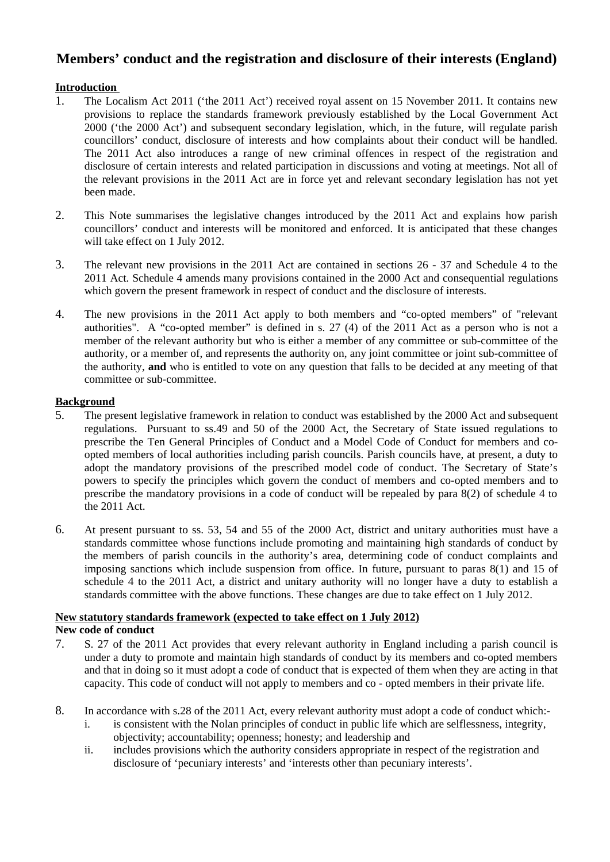# **Members' conduct and the registration and disclosure of their interests (England)**

# **Introduction**

- 1. The Localism Act 2011 ('the 2011 Act') received royal assent on 15 November 2011. It contains new provisions to replace the standards framework previously established by the Local Government Act 2000 ('the 2000 Act') and subsequent secondary legislation, which, in the future, will regulate parish councillors' conduct, disclosure of interests and how complaints about their conduct will be handled. The 2011 Act also introduces a range of new criminal offences in respect of the registration and disclosure of certain interests and related participation in discussions and voting at meetings. Not all of the relevant provisions in the 2011 Act are in force yet and relevant secondary legislation has not yet been made.
- 2. This Note summarises the legislative changes introduced by the 2011 Act and explains how parish councillors' conduct and interests will be monitored and enforced. It is anticipated that these changes will take effect on 1 July 2012.
- 3. The relevant new provisions in the 2011 Act are contained in sections 26 37 and Schedule 4 to the 2011 Act. Schedule 4 amends many provisions contained in the 2000 Act and consequential regulations which govern the present framework in respect of conduct and the disclosure of interests.
- 4. The new provisions in the 2011 Act apply to both members and "co-opted members" of "relevant authorities". A "co-opted member" is defined in s. 27 (4) of the 2011 Act as a person who is not a member of the relevant authority but who is either a member of any committee or sub-committee of the authority, or a member of, and represents the authority on, any joint committee or joint sub-committee of the authority, **and** who is entitled to vote on any question that falls to be decided at any meeting of that committee or sub-committee.

## **Background**

- 5. The present legislative framework in relation to conduct was established by the 2000 Act and subsequent regulations. Pursuant to ss.49 and 50 of the 2000 Act, the Secretary of State issued regulations to prescribe the Ten General Principles of Conduct and a Model Code of Conduct for members and coopted members of local authorities including parish councils. Parish councils have, at present, a duty to adopt the mandatory provisions of the prescribed model code of conduct. The Secretary of State's powers to specify the principles which govern the conduct of members and co-opted members and to prescribe the mandatory provisions in a code of conduct will be repealed by para 8(2) of schedule 4 to the 2011 Act.
- 6. At present pursuant to ss. 53, 54 and 55 of the 2000 Act, district and unitary authorities must have a standards committee whose functions include promoting and maintaining high standards of conduct by the members of parish councils in the authority's area, determining code of conduct complaints and imposing sanctions which include suspension from office. In future, pursuant to paras 8(1) and 15 of schedule 4 to the 2011 Act, a district and unitary authority will no longer have a duty to establish a standards committee with the above functions. These changes are due to take effect on 1 July 2012.

#### **New statutory standards framework (expected to take effect on 1 July 2012) New code of conduct**

- 7. S. 27 of the 2011 Act provides that every relevant authority in England including a parish council is under a duty to promote and maintain high standards of conduct by its members and co-opted members and that in doing so it must adopt a code of conduct that is expected of them when they are acting in that capacity. This code of conduct will not apply to members and co - opted members in their private life.
- 8. In accordance with s.28 of the 2011 Act, every relevant authority must adopt a code of conduct which:
	- i. is consistent with the Nolan principles of conduct in public life which are selflessness, integrity, objectivity; accountability; openness; honesty; and leadership and
	- ii. includes provisions which the authority considers appropriate in respect of the registration and disclosure of 'pecuniary interests' and 'interests other than pecuniary interests'.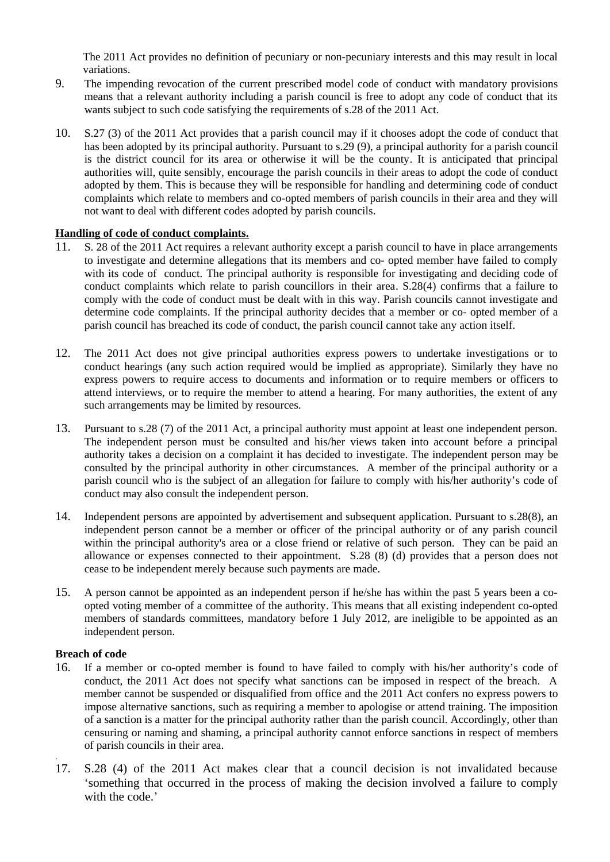The 2011 Act provides no definition of pecuniary or non-pecuniary interests and this may result in local variations.

- 9. The impending revocation of the current prescribed model code of conduct with mandatory provisions means that a relevant authority including a parish council is free to adopt any code of conduct that its wants subject to such code satisfying the requirements of s.28 of the 2011 Act.
- 10. S.27 (3) of the 2011 Act provides that a parish council may if it chooses adopt the code of conduct that has been adopted by its principal authority. Pursuant to s.29 (9), a principal authority for a parish council is the district council for its area or otherwise it will be the county. It is anticipated that principal authorities will, quite sensibly, encourage the parish councils in their areas to adopt the code of conduct adopted by them. This is because they will be responsible for handling and determining code of conduct complaints which relate to members and co-opted members of parish councils in their area and they will not want to deal with different codes adopted by parish councils.

#### **Handling of code of conduct complaints.**

- 11. S. 28 of the 2011 Act requires a relevant authority except a parish council to have in place arrangements to investigate and determine allegations that its members and co- opted member have failed to comply with its code of conduct. The principal authority is responsible for investigating and deciding code of conduct complaints which relate to parish councillors in their area. S.28(4) confirms that a failure to comply with the code of conduct must be dealt with in this way. Parish councils cannot investigate and determine code complaints. If the principal authority decides that a member or co- opted member of a parish council has breached its code of conduct, the parish council cannot take any action itself.
- 12. The 2011 Act does not give principal authorities express powers to undertake investigations or to conduct hearings (any such action required would be implied as appropriate). Similarly they have no express powers to require access to documents and information or to require members or officers to attend interviews, or to require the member to attend a hearing. For many authorities, the extent of any such arrangements may be limited by resources.
- 13. Pursuant to s.28 (7) of the 2011 Act, a principal authority must appoint at least one independent person. The independent person must be consulted and his/her views taken into account before a principal authority takes a decision on a complaint it has decided to investigate. The independent person may be consulted by the principal authority in other circumstances. A member of the principal authority or a parish council who is the subject of an allegation for failure to comply with his/her authority's code of conduct may also consult the independent person.
- 14. Independent persons are appointed by advertisement and subsequent application. Pursuant to s.28(8), an independent person cannot be a member or officer of the principal authority or of any parish council within the principal authority's area or a close friend or relative of such person. They can be paid an allowance or expenses connected to their appointment. S.28 (8) (d) provides that a person does not cease to be independent merely because such payments are made.
- 15. A person cannot be appointed as an independent person if he/she has within the past 5 years been a coopted voting member of a committee of the authority. This means that all existing independent co-opted members of standards committees, mandatory before 1 July 2012, are ineligible to be appointed as an independent person.

# **Breach of code**

.

- 16. If a member or co-opted member is found to have failed to comply with his/her authority's code of conduct, the 2011 Act does not specify what sanctions can be imposed in respect of the breach. A member cannot be suspended or disqualified from office and the 2011 Act confers no express powers to impose alternative sanctions, such as requiring a member to apologise or attend training. The imposition of a sanction is a matter for the principal authority rather than the parish council. Accordingly, other than censuring or naming and shaming, a principal authority cannot enforce sanctions in respect of members of parish councils in their area.
- 17. S.28 (4) of the 2011 Act makes clear that a council decision is not invalidated because 'something that occurred in the process of making the decision involved a failure to comply with the code.'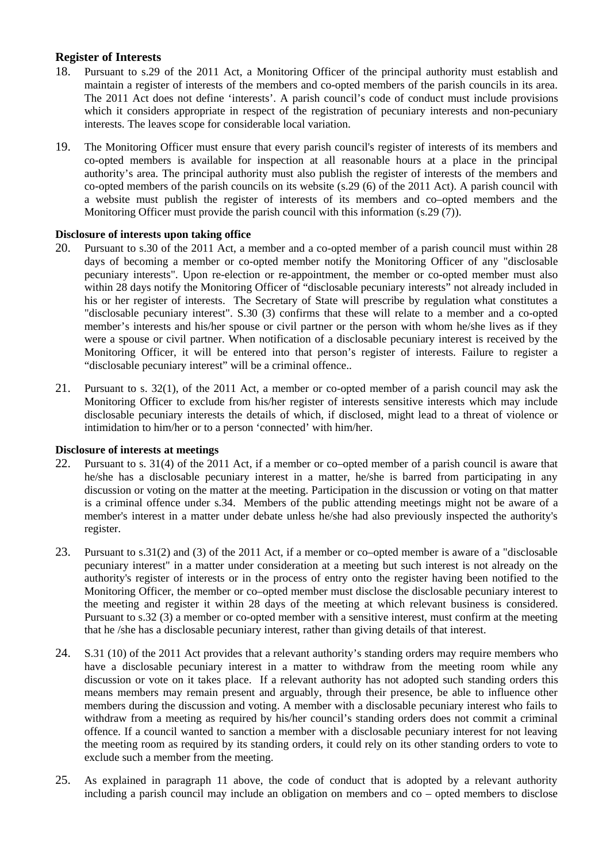## **Register of Interests**

- 18. Pursuant to s.29 of the 2011 Act, a Monitoring Officer of the principal authority must establish and maintain a register of interests of the members and co-opted members of the parish councils in its area. The 2011 Act does not define 'interests'. A parish council's code of conduct must include provisions which it considers appropriate in respect of the registration of pecuniary interests and non-pecuniary interests. The leaves scope for considerable local variation.
- 19. The Monitoring Officer must ensure that every parish council's register of interests of its members and co-opted members is available for inspection at all reasonable hours at a place in the principal authority's area. The principal authority must also publish the register of interests of the members and co-opted members of the parish councils on its website (s.29 (6) of the 2011 Act). A parish council with a website must publish the register of interests of its members and co–opted members and the Monitoring Officer must provide the parish council with this information (s.29 (7)).

## **Disclosure of interests upon taking office**

- 20. Pursuant to s.30 of the 2011 Act, a member and a co-opted member of a parish council must within 28 days of becoming a member or co-opted member notify the Monitoring Officer of any "disclosable pecuniary interests". Upon re-election or re-appointment, the member or co-opted member must also within 28 days notify the Monitoring Officer of "disclosable pecuniary interests" not already included in his or her register of interests. The Secretary of State will prescribe by regulation what constitutes a "disclosable pecuniary interest". S.30 (3) confirms that these will relate to a member and a co-opted member's interests and his/her spouse or civil partner or the person with whom he/she lives as if they were a spouse or civil partner. When notification of a disclosable pecuniary interest is received by the Monitoring Officer, it will be entered into that person's register of interests. Failure to register a "disclosable pecuniary interest" will be a criminal offence..
- 21. Pursuant to s. 32(1), of the 2011 Act, a member or co-opted member of a parish council may ask the Monitoring Officer to exclude from his/her register of interests sensitive interests which may include disclosable pecuniary interests the details of which, if disclosed, might lead to a threat of violence or intimidation to him/her or to a person 'connected' with him/her.

#### **Disclosure of interests at meetings**

- 22. Pursuant to s. 31(4) of the 2011 Act, if a member or co–opted member of a parish council is aware that he/she has a disclosable pecuniary interest in a matter, he/she is barred from participating in any discussion or voting on the matter at the meeting. Participation in the discussion or voting on that matter is a criminal offence under s.34. Members of the public attending meetings might not be aware of a member's interest in a matter under debate unless he/she had also previously inspected the authority's register.
- 23. Pursuant to s.31(2) and (3) of the 2011 Act, if a member or co–opted member is aware of a "disclosable pecuniary interest" in a matter under consideration at a meeting but such interest is not already on the authority's register of interests or in the process of entry onto the register having been notified to the Monitoring Officer, the member or co–opted member must disclose the disclosable pecuniary interest to the meeting and register it within 28 days of the meeting at which relevant business is considered. Pursuant to s.32 (3) a member or co-opted member with a sensitive interest, must confirm at the meeting that he /she has a disclosable pecuniary interest, rather than giving details of that interest.
- 24. S.31 (10) of the 2011 Act provides that a relevant authority's standing orders may require members who have a disclosable pecuniary interest in a matter to withdraw from the meeting room while any discussion or vote on it takes place. If a relevant authority has not adopted such standing orders this means members may remain present and arguably, through their presence, be able to influence other members during the discussion and voting. A member with a disclosable pecuniary interest who fails to withdraw from a meeting as required by his/her council's standing orders does not commit a criminal offence. If a council wanted to sanction a member with a disclosable pecuniary interest for not leaving the meeting room as required by its standing orders, it could rely on its other standing orders to vote to exclude such a member from the meeting.
- 25. As explained in paragraph 11 above, the code of conduct that is adopted by a relevant authority including a parish council may include an obligation on members and co – opted members to disclose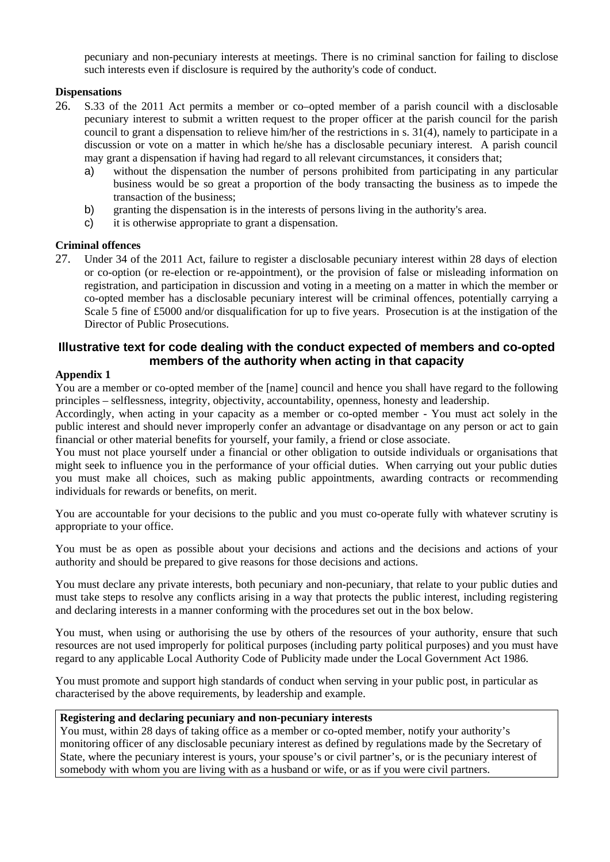pecuniary and non-pecuniary interests at meetings. There is no criminal sanction for failing to disclose such interests even if disclosure is required by the authority's code of conduct.

#### **Dispensations**

- 26. S.33 of the 2011 Act permits a member or co–opted member of a parish council with a disclosable pecuniary interest to submit a written request to the proper officer at the parish council for the parish council to grant a dispensation to relieve him/her of the restrictions in s. 31(4), namely to participate in a discussion or vote on a matter in which he/she has a disclosable pecuniary interest. A parish council may grant a dispensation if having had regard to all relevant circumstances, it considers that;
	- a) without the dispensation the number of persons prohibited from participating in any particular business would be so great a proportion of the body transacting the business as to impede the transaction of the business;
	- b) granting the dispensation is in the interests of persons living in the authority's area.
	- c) it is otherwise appropriate to grant a dispensation.

#### **Criminal offences**

27. Under 34 of the 2011 Act, failure to register a disclosable pecuniary interest within 28 days of election or co-option (or re-election or re-appointment), or the provision of false or misleading information on registration, and participation in discussion and voting in a meeting on a matter in which the member or co-opted member has a disclosable pecuniary interest will be criminal offences, potentially carrying a Scale 5 fine of £5000 and/or disqualification for up to five years. Prosecution is at the instigation of the Director of Public Prosecutions.

# **Illustrative text for code dealing with the conduct expected of members and co-opted members of the authority when acting in that capacity**

#### **Appendix 1**

You are a member or co-opted member of the [name] council and hence you shall have regard to the following principles – selflessness, integrity, objectivity, accountability, openness, honesty and leadership.

Accordingly, when acting in your capacity as a member or co-opted member - You must act solely in the public interest and should never improperly confer an advantage or disadvantage on any person or act to gain financial or other material benefits for yourself, your family, a friend or close associate.

You must not place yourself under a financial or other obligation to outside individuals or organisations that might seek to influence you in the performance of your official duties. When carrying out your public duties you must make all choices, such as making public appointments, awarding contracts or recommending individuals for rewards or benefits, on merit.

You are accountable for your decisions to the public and you must co-operate fully with whatever scrutiny is appropriate to your office.

You must be as open as possible about your decisions and actions and the decisions and actions of your authority and should be prepared to give reasons for those decisions and actions.

You must declare any private interests, both pecuniary and non-pecuniary, that relate to your public duties and must take steps to resolve any conflicts arising in a way that protects the public interest, including registering and declaring interests in a manner conforming with the procedures set out in the box below.

You must, when using or authorising the use by others of the resources of your authority, ensure that such resources are not used improperly for political purposes (including party political purposes) and you must have regard to any applicable Local Authority Code of Publicity made under the Local Government Act 1986.

You must promote and support high standards of conduct when serving in your public post, in particular as characterised by the above requirements, by leadership and example.

#### **Registering and declaring pecuniary and non-pecuniary interests**

You must, within 28 days of taking office as a member or co-opted member, notify your authority's monitoring officer of any disclosable pecuniary interest as defined by regulations made by the Secretary of State, where the pecuniary interest is yours, your spouse's or civil partner's, or is the pecuniary interest of somebody with whom you are living with as a husband or wife, or as if you were civil partners.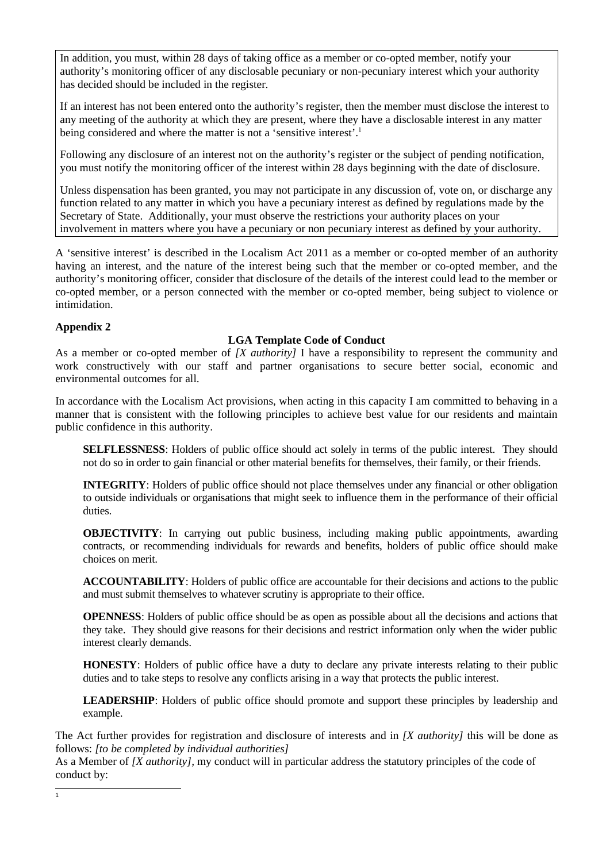In addition, you must, within 28 days of taking office as a member or co-opted member, notify your authority's monitoring officer of any disclosable pecuniary or non-pecuniary interest which your authority has decided should be included in the register.

If an interest has not been entered onto the authority's register, then the member must disclose the interest to any meeting of the authority at which they are present, where they have a disclosable interest in any matter being considered and where the matter is not a 'sensitive interest'.<sup>1</sup>

Following any disclosure of an interest not on the authority's register or the subject of pending notification, you must notify the monitoring officer of the interest within 28 days beginning with the date of disclosure.

Unless dispensation has been granted, you may not participate in any discussion of, vote on, or discharge any function related to any matter in which you have a pecuniary interest as defined by regulations made by the Secretary of State. Additionally, your must observe the restrictions your authority places on your involvement in matters where you have a pecuniary or non pecuniary interest as defined by your authority.

A 'sensitive interest' is described in the Localism Act 2011 as a member or co-opted member of an authority having an interest, and the nature of the interest being such that the member or co-opted member, and the authority's monitoring officer, consider that disclosure of the details of the interest could lead to the member or co-opted member, or a person connected with the member or co-opted member, being subject to violence or intimidation.

## **Appendix 2**

#### **LGA Template Code of Conduct**

As a member or co-opted member of *[X authority]* I have a responsibility to represent the community and work constructively with our staff and partner organisations to secure better social, economic and environmental outcomes for all.

In accordance with the Localism Act provisions, when acting in this capacity I am committed to behaving in a manner that is consistent with the following principles to achieve best value for our residents and maintain public confidence in this authority.

**SELFLESSNESS**: Holders of public office should act solely in terms of the public interest. They should not do so in order to gain financial or other material benefits for themselves, their family, or their friends.

**INTEGRITY**: Holders of public office should not place themselves under any financial or other obligation to outside individuals or organisations that might seek to influence them in the performance of their official duties.

**OBJECTIVITY**: In carrying out public business, including making public appointments, awarding contracts, or recommending individuals for rewards and benefits, holders of public office should make choices on merit.

**ACCOUNTABILITY**: Holders of public office are accountable for their decisions and actions to the public and must submit themselves to whatever scrutiny is appropriate to their office.

**OPENNESS**: Holders of public office should be as open as possible about all the decisions and actions that they take. They should give reasons for their decisions and restrict information only when the wider public interest clearly demands.

**HONESTY**: Holders of public office have a duty to declare any private interests relating to their public duties and to take steps to resolve any conflicts arising in a way that protects the public interest.

**LEADERSHIP**: Holders of public office should promote and support these principles by leadership and example.

The Act further provides for registration and disclosure of interests and in *[X authority]* this will be done as follows: *[to be completed by individual authorities]*

As a Member of *[X authority],* my conduct will in particular address the statutory principles of the code of conduct by: